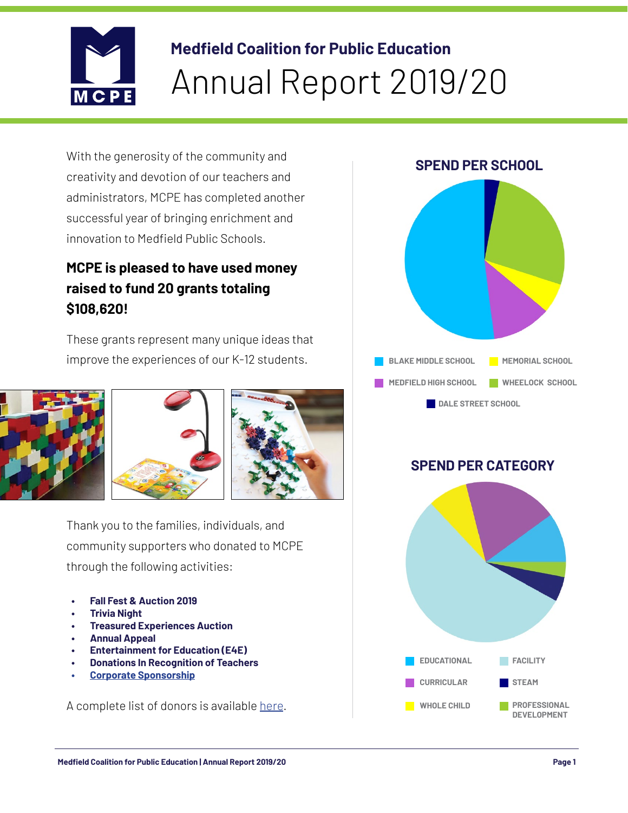

## **Medfield Coalition for Public Education** Annual Report 2019/20

With the generosity of the community and creativity and devotion of our teachers and administrators, MCPE has completed another successful year of bringing enrichment and innovation to Medfield Public Schools.

## **MCPE is pleased to have used money raised to fund 20 grants totaling \$108,620!**

These grants represent many unique ideas that improve the experiences of our K-12 students.



Thank you to the families, individuals, and community supporters who donated to MCPE through the following activities:

- **• Fall Fest & Auction 2019**
- **• Trivia Night**
- **• Treasured Experiences Auction**
- **• Annual Appeal**
- **• Entertainment for Education (E4E)**
- **• Donations In Recognition of Teachers**
- **• [Corporate Sponsorship](https://www.medfieldcoalition.org/sponsors)**

A complete list of donors is available [here](https://www.medfieldcoalition.org/donor-list-2019-20).



## **SPEND PER CATEGORY**